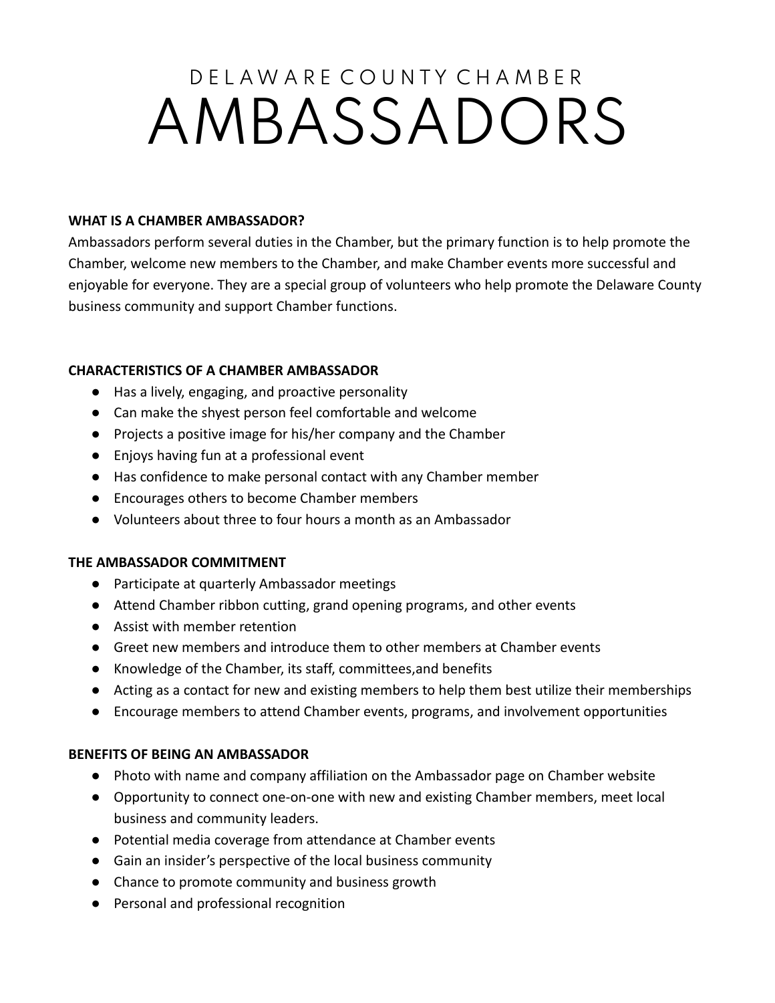# D F L A W A R F C O U N T Y C H A M B F R AMBASSADORS

#### **WHAT IS A CHAMBER AMBASSADOR?**

Ambassadors perform several duties in the Chamber, but the primary function is to help promote the Chamber, welcome new members to the Chamber, and make Chamber events more successful and enjoyable for everyone. They are a special group of volunteers who help promote the Delaware County business community and support Chamber functions.

## **CHARACTERISTICS OF A CHAMBER AMBASSADOR**

- Has a lively, engaging, and proactive personality
- Can make the shyest person feel comfortable and welcome
- Projects a positive image for his/her company and the Chamber
- Enjoys having fun at a professional event
- Has confidence to make personal contact with any Chamber member
- Encourages others to become Chamber members
- Volunteers about three to four hours a month as an Ambassador

#### **THE AMBASSADOR COMMITMENT**

- Participate at quarterly Ambassador meetings
- Attend Chamber ribbon cutting, grand opening programs, and other events
- Assist with member retention
- Greet new members and introduce them to other members at Chamber events
- Knowledge of the Chamber, its staff, committees,and benefits
- Acting as a contact for new and existing members to help them best utilize their memberships
- Encourage members to attend Chamber events, programs, and involvement opportunities

## **BENEFITS OF BEING AN AMBASSADOR**

- Photo with name and company affiliation on the Ambassador page on Chamber website
- Opportunity to connect one-on-one with new and existing Chamber members, meet local business and community leaders.
- Potential media coverage from attendance at Chamber events
- Gain an insider's perspective of the local business community
- Chance to promote community and business growth
- Personal and professional recognition